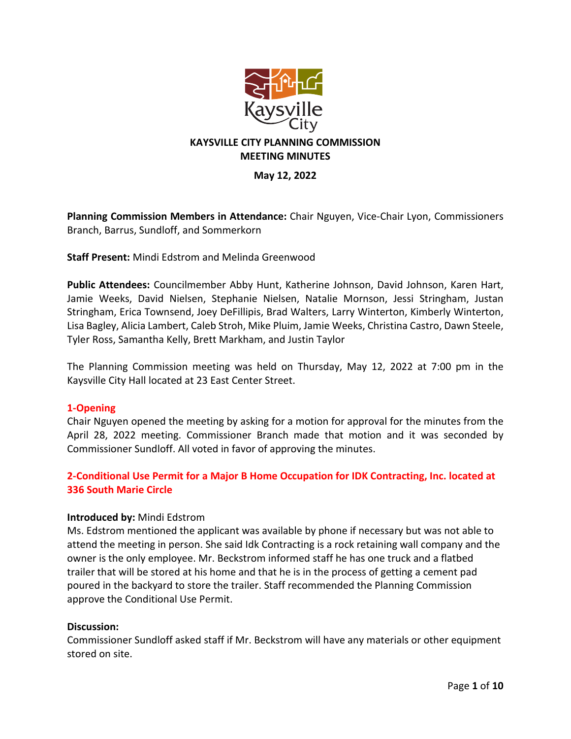

## **KAYSVILLE CITY PLANNING COMMISSION MEETING MINUTES**

## **May 12, 2022**

**Planning Commission Members in Attendance:** Chair Nguyen, Vice-Chair Lyon, Commissioners Branch, Barrus, Sundloff, and Sommerkorn

**Staff Present:** Mindi Edstrom and Melinda Greenwood

**Public Attendees:** Councilmember Abby Hunt, Katherine Johnson, David Johnson, Karen Hart, Jamie Weeks, David Nielsen, Stephanie Nielsen, Natalie Mornson, Jessi Stringham, Justan Stringham, Erica Townsend, Joey DeFillipis, Brad Walters, Larry Winterton, Kimberly Winterton, Lisa Bagley, Alicia Lambert, Caleb Stroh, Mike Pluim, Jamie Weeks, Christina Castro, Dawn Steele, Tyler Ross, Samantha Kelly, Brett Markham, and Justin Taylor

The Planning Commission meeting was held on Thursday, May 12, 2022 at 7:00 pm in the Kaysville City Hall located at 23 East Center Street.

## **1-Opening**

Chair Nguyen opened the meeting by asking for a motion for approval for the minutes from the April 28, 2022 meeting. Commissioner Branch made that motion and it was seconded by Commissioner Sundloff. All voted in favor of approving the minutes.

# **2-Conditional Use Permit for a Major B Home Occupation for IDK Contracting, Inc. located at 336 South Marie Circle**

#### **Introduced by:** Mindi Edstrom

Ms. Edstrom mentioned the applicant was available by phone if necessary but was not able to attend the meeting in person. She said Idk Contracting is a rock retaining wall company and the owner is the only employee. Mr. Beckstrom informed staff he has one truck and a flatbed trailer that will be stored at his home and that he is in the process of getting a cement pad poured in the backyard to store the trailer. Staff recommended the Planning Commission approve the Conditional Use Permit.

#### **Discussion:**

Commissioner Sundloff asked staff if Mr. Beckstrom will have any materials or other equipment stored on site.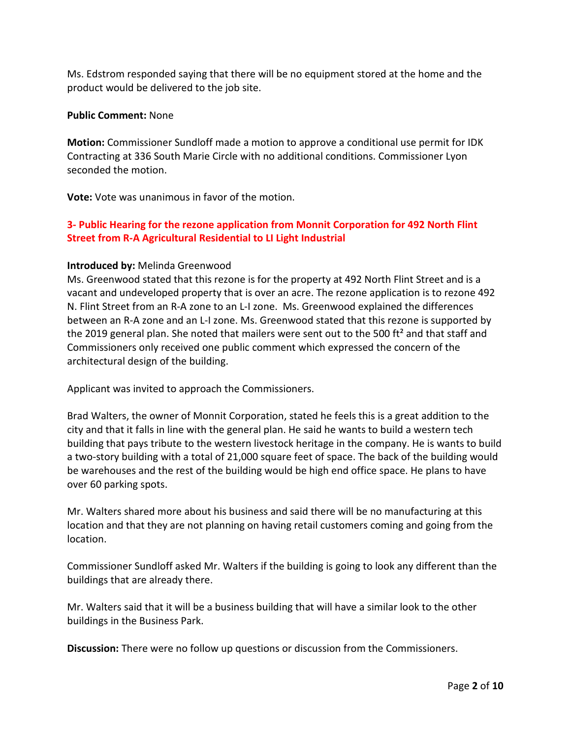Ms. Edstrom responded saying that there will be no equipment stored at the home and the product would be delivered to the job site.

#### **Public Comment:** None

**Motion:** Commissioner Sundloff made a motion to approve a conditional use permit for IDK Contracting at 336 South Marie Circle with no additional conditions. Commissioner Lyon seconded the motion.

**Vote:** Vote was unanimous in favor of the motion.

# **3- Public Hearing for the rezone application from Monnit Corporation for 492 North Flint Street from R-A Agricultural Residential to LI Light Industrial**

#### **Introduced by:** Melinda Greenwood

Ms. Greenwood stated that this rezone is for the property at 492 North Flint Street and is a vacant and undeveloped property that is over an acre. The rezone application is to rezone 492 N. Flint Street from an R-A zone to an L-I zone. Ms. Greenwood explained the differences between an R-A zone and an L-I zone. Ms. Greenwood stated that this rezone is supported by the 2019 general plan. She noted that mailers were sent out to the 500 ft<sup>2</sup> and that staff and Commissioners only received one public comment which expressed the concern of the architectural design of the building.

Applicant was invited to approach the Commissioners.

Brad Walters, the owner of Monnit Corporation, stated he feels this is a great addition to the city and that it falls in line with the general plan. He said he wants to build a western tech building that pays tribute to the western livestock heritage in the company. He is wants to build a two-story building with a total of 21,000 square feet of space. The back of the building would be warehouses and the rest of the building would be high end office space. He plans to have over 60 parking spots.

Mr. Walters shared more about his business and said there will be no manufacturing at this location and that they are not planning on having retail customers coming and going from the location.

Commissioner Sundloff asked Mr. Walters if the building is going to look any different than the buildings that are already there.

Mr. Walters said that it will be a business building that will have a similar look to the other buildings in the Business Park.

**Discussion:** There were no follow up questions or discussion from the Commissioners.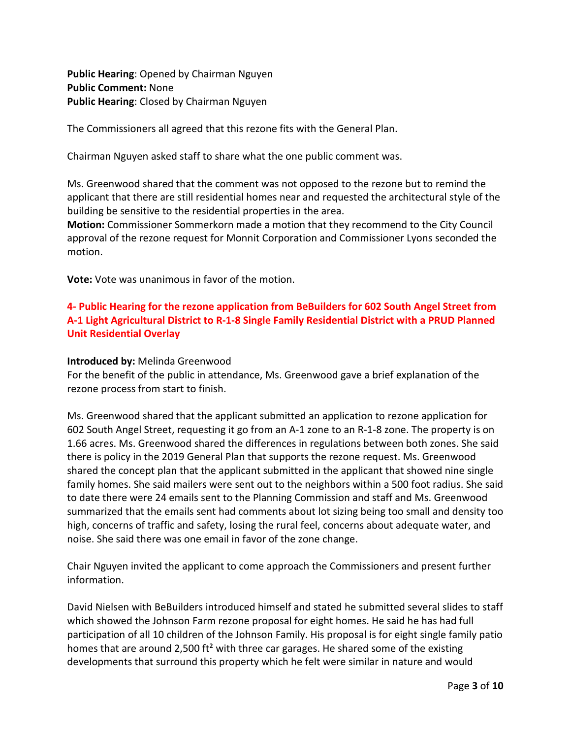**Public Hearing**: Opened by Chairman Nguyen **Public Comment:** None **Public Hearing**: Closed by Chairman Nguyen

The Commissioners all agreed that this rezone fits with the General Plan.

Chairman Nguyen asked staff to share what the one public comment was.

Ms. Greenwood shared that the comment was not opposed to the rezone but to remind the applicant that there are still residential homes near and requested the architectural style of the building be sensitive to the residential properties in the area.

**Motion:** Commissioner Sommerkorn made a motion that they recommend to the City Council approval of the rezone request for Monnit Corporation and Commissioner Lyons seconded the motion.

**Vote:** Vote was unanimous in favor of the motion.

# **4- Public Hearing for the rezone application from BeBuilders for 602 South Angel Street from A-1 Light Agricultural District to R-1-8 Single Family Residential District with a PRUD Planned Unit Residential Overlay**

## **Introduced by:** Melinda Greenwood

For the benefit of the public in attendance, Ms. Greenwood gave a brief explanation of the rezone process from start to finish.

Ms. Greenwood shared that the applicant submitted an application to rezone application for 602 South Angel Street, requesting it go from an A-1 zone to an R-1-8 zone. The property is on 1.66 acres. Ms. Greenwood shared the differences in regulations between both zones. She said there is policy in the 2019 General Plan that supports the rezone request. Ms. Greenwood shared the concept plan that the applicant submitted in the applicant that showed nine single family homes. She said mailers were sent out to the neighbors within a 500 foot radius. She said to date there were 24 emails sent to the Planning Commission and staff and Ms. Greenwood summarized that the emails sent had comments about lot sizing being too small and density too high, concerns of traffic and safety, losing the rural feel, concerns about adequate water, and noise. She said there was one email in favor of the zone change.

Chair Nguyen invited the applicant to come approach the Commissioners and present further information.

David Nielsen with BeBuilders introduced himself and stated he submitted several slides to staff which showed the Johnson Farm rezone proposal for eight homes. He said he has had full participation of all 10 children of the Johnson Family. His proposal is for eight single family patio homes that are around 2,500 ft<sup>2</sup> with three car garages. He shared some of the existing developments that surround this property which he felt were similar in nature and would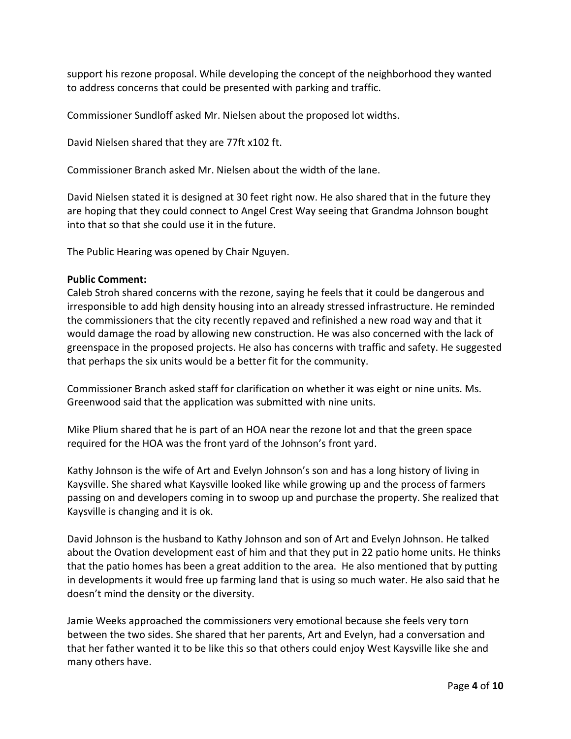support his rezone proposal. While developing the concept of the neighborhood they wanted to address concerns that could be presented with parking and traffic.

Commissioner Sundloff asked Mr. Nielsen about the proposed lot widths.

David Nielsen shared that they are 77ft x102 ft.

Commissioner Branch asked Mr. Nielsen about the width of the lane.

David Nielsen stated it is designed at 30 feet right now. He also shared that in the future they are hoping that they could connect to Angel Crest Way seeing that Grandma Johnson bought into that so that she could use it in the future.

The Public Hearing was opened by Chair Nguyen.

#### **Public Comment:**

Caleb Stroh shared concerns with the rezone, saying he feels that it could be dangerous and irresponsible to add high density housing into an already stressed infrastructure. He reminded the commissioners that the city recently repaved and refinished a new road way and that it would damage the road by allowing new construction. He was also concerned with the lack of greenspace in the proposed projects. He also has concerns with traffic and safety. He suggested that perhaps the six units would be a better fit for the community.

Commissioner Branch asked staff for clarification on whether it was eight or nine units. Ms. Greenwood said that the application was submitted with nine units.

Mike Plium shared that he is part of an HOA near the rezone lot and that the green space required for the HOA was the front yard of the Johnson's front yard.

Kathy Johnson is the wife of Art and Evelyn Johnson's son and has a long history of living in Kaysville. She shared what Kaysville looked like while growing up and the process of farmers passing on and developers coming in to swoop up and purchase the property. She realized that Kaysville is changing and it is ok.

David Johnson is the husband to Kathy Johnson and son of Art and Evelyn Johnson. He talked about the Ovation development east of him and that they put in 22 patio home units. He thinks that the patio homes has been a great addition to the area. He also mentioned that by putting in developments it would free up farming land that is using so much water. He also said that he doesn't mind the density or the diversity.

Jamie Weeks approached the commissioners very emotional because she feels very torn between the two sides. She shared that her parents, Art and Evelyn, had a conversation and that her father wanted it to be like this so that others could enjoy West Kaysville like she and many others have.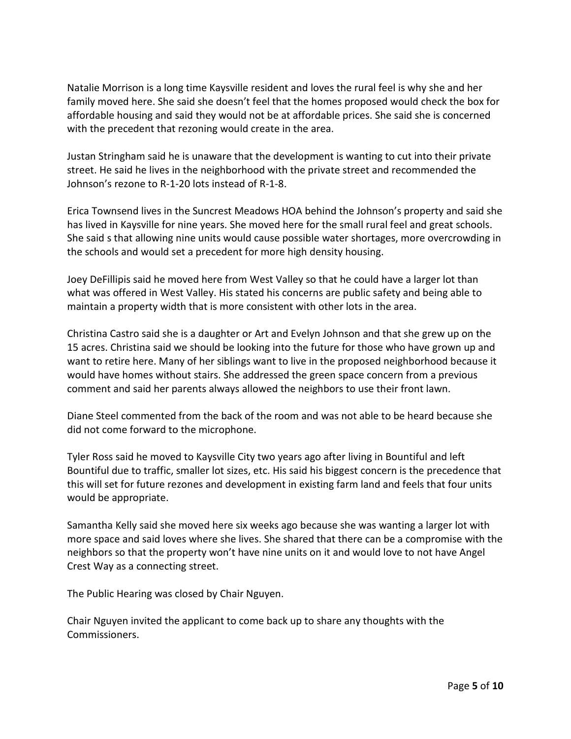Natalie Morrison is a long time Kaysville resident and loves the rural feel is why she and her family moved here. She said she doesn't feel that the homes proposed would check the box for affordable housing and said they would not be at affordable prices. She said she is concerned with the precedent that rezoning would create in the area.

Justan Stringham said he is unaware that the development is wanting to cut into their private street. He said he lives in the neighborhood with the private street and recommended the Johnson's rezone to R-1-20 lots instead of R-1-8.

Erica Townsend lives in the Suncrest Meadows HOA behind the Johnson's property and said she has lived in Kaysville for nine years. She moved here for the small rural feel and great schools. She said s that allowing nine units would cause possible water shortages, more overcrowding in the schools and would set a precedent for more high density housing.

Joey DeFillipis said he moved here from West Valley so that he could have a larger lot than what was offered in West Valley. His stated his concerns are public safety and being able to maintain a property width that is more consistent with other lots in the area.

Christina Castro said she is a daughter or Art and Evelyn Johnson and that she grew up on the 15 acres. Christina said we should be looking into the future for those who have grown up and want to retire here. Many of her siblings want to live in the proposed neighborhood because it would have homes without stairs. She addressed the green space concern from a previous comment and said her parents always allowed the neighbors to use their front lawn.

Diane Steel commented from the back of the room and was not able to be heard because she did not come forward to the microphone.

Tyler Ross said he moved to Kaysville City two years ago after living in Bountiful and left Bountiful due to traffic, smaller lot sizes, etc. His said his biggest concern is the precedence that this will set for future rezones and development in existing farm land and feels that four units would be appropriate.

Samantha Kelly said she moved here six weeks ago because she was wanting a larger lot with more space and said loves where she lives. She shared that there can be a compromise with the neighbors so that the property won't have nine units on it and would love to not have Angel Crest Way as a connecting street.

The Public Hearing was closed by Chair Nguyen.

Chair Nguyen invited the applicant to come back up to share any thoughts with the Commissioners.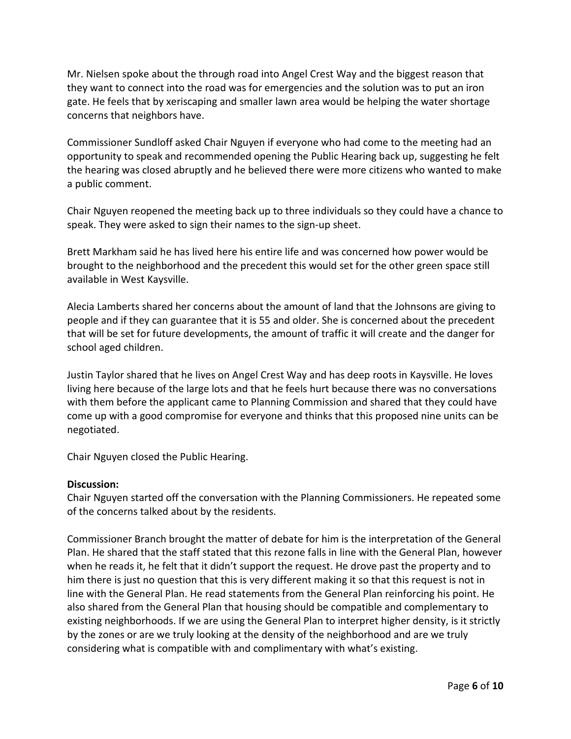Mr. Nielsen spoke about the through road into Angel Crest Way and the biggest reason that they want to connect into the road was for emergencies and the solution was to put an iron gate. He feels that by xeriscaping and smaller lawn area would be helping the water shortage concerns that neighbors have.

Commissioner Sundloff asked Chair Nguyen if everyone who had come to the meeting had an opportunity to speak and recommended opening the Public Hearing back up, suggesting he felt the hearing was closed abruptly and he believed there were more citizens who wanted to make a public comment.

Chair Nguyen reopened the meeting back up to three individuals so they could have a chance to speak. They were asked to sign their names to the sign-up sheet.

Brett Markham said he has lived here his entire life and was concerned how power would be brought to the neighborhood and the precedent this would set for the other green space still available in West Kaysville.

Alecia Lamberts shared her concerns about the amount of land that the Johnsons are giving to people and if they can guarantee that it is 55 and older. She is concerned about the precedent that will be set for future developments, the amount of traffic it will create and the danger for school aged children.

Justin Taylor shared that he lives on Angel Crest Way and has deep roots in Kaysville. He loves living here because of the large lots and that he feels hurt because there was no conversations with them before the applicant came to Planning Commission and shared that they could have come up with a good compromise for everyone and thinks that this proposed nine units can be negotiated.

Chair Nguyen closed the Public Hearing.

## **Discussion:**

Chair Nguyen started off the conversation with the Planning Commissioners. He repeated some of the concerns talked about by the residents.

Commissioner Branch brought the matter of debate for him is the interpretation of the General Plan. He shared that the staff stated that this rezone falls in line with the General Plan, however when he reads it, he felt that it didn't support the request. He drove past the property and to him there is just no question that this is very different making it so that this request is not in line with the General Plan. He read statements from the General Plan reinforcing his point. He also shared from the General Plan that housing should be compatible and complementary to existing neighborhoods. If we are using the General Plan to interpret higher density, is it strictly by the zones or are we truly looking at the density of the neighborhood and are we truly considering what is compatible with and complimentary with what's existing.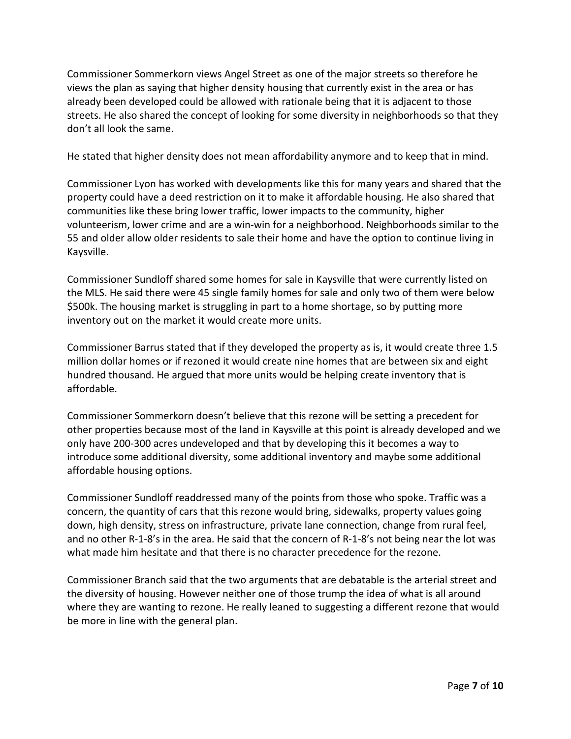Commissioner Sommerkorn views Angel Street as one of the major streets so therefore he views the plan as saying that higher density housing that currently exist in the area or has already been developed could be allowed with rationale being that it is adjacent to those streets. He also shared the concept of looking for some diversity in neighborhoods so that they don't all look the same.

He stated that higher density does not mean affordability anymore and to keep that in mind.

Commissioner Lyon has worked with developments like this for many years and shared that the property could have a deed restriction on it to make it affordable housing. He also shared that communities like these bring lower traffic, lower impacts to the community, higher volunteerism, lower crime and are a win-win for a neighborhood. Neighborhoods similar to the 55 and older allow older residents to sale their home and have the option to continue living in Kaysville.

Commissioner Sundloff shared some homes for sale in Kaysville that were currently listed on the MLS. He said there were 45 single family homes for sale and only two of them were below \$500k. The housing market is struggling in part to a home shortage, so by putting more inventory out on the market it would create more units.

Commissioner Barrus stated that if they developed the property as is, it would create three 1.5 million dollar homes or if rezoned it would create nine homes that are between six and eight hundred thousand. He argued that more units would be helping create inventory that is affordable.

Commissioner Sommerkorn doesn't believe that this rezone will be setting a precedent for other properties because most of the land in Kaysville at this point is already developed and we only have 200-300 acres undeveloped and that by developing this it becomes a way to introduce some additional diversity, some additional inventory and maybe some additional affordable housing options.

Commissioner Sundloff readdressed many of the points from those who spoke. Traffic was a concern, the quantity of cars that this rezone would bring, sidewalks, property values going down, high density, stress on infrastructure, private lane connection, change from rural feel, and no other R-1-8's in the area. He said that the concern of R-1-8's not being near the lot was what made him hesitate and that there is no character precedence for the rezone.

Commissioner Branch said that the two arguments that are debatable is the arterial street and the diversity of housing. However neither one of those trump the idea of what is all around where they are wanting to rezone. He really leaned to suggesting a different rezone that would be more in line with the general plan.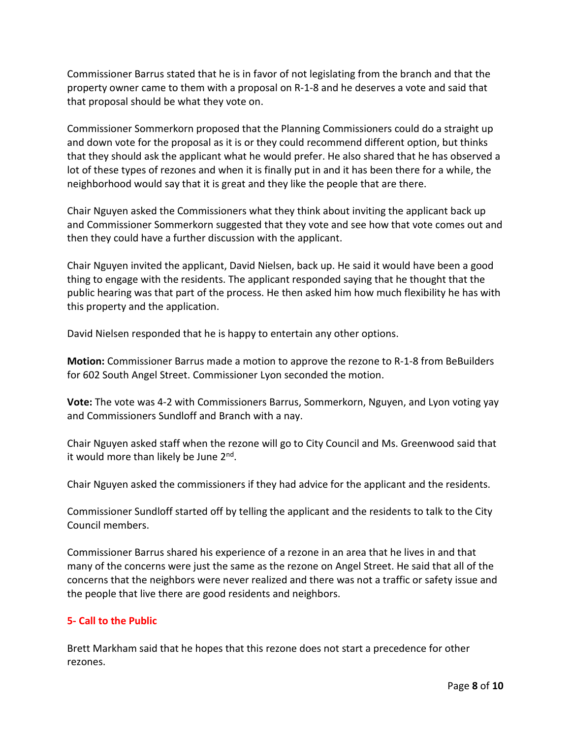Commissioner Barrus stated that he is in favor of not legislating from the branch and that the property owner came to them with a proposal on R-1-8 and he deserves a vote and said that that proposal should be what they vote on.

Commissioner Sommerkorn proposed that the Planning Commissioners could do a straight up and down vote for the proposal as it is or they could recommend different option, but thinks that they should ask the applicant what he would prefer. He also shared that he has observed a lot of these types of rezones and when it is finally put in and it has been there for a while, the neighborhood would say that it is great and they like the people that are there.

Chair Nguyen asked the Commissioners what they think about inviting the applicant back up and Commissioner Sommerkorn suggested that they vote and see how that vote comes out and then they could have a further discussion with the applicant.

Chair Nguyen invited the applicant, David Nielsen, back up. He said it would have been a good thing to engage with the residents. The applicant responded saying that he thought that the public hearing was that part of the process. He then asked him how much flexibility he has with this property and the application.

David Nielsen responded that he is happy to entertain any other options.

**Motion:** Commissioner Barrus made a motion to approve the rezone to R-1-8 from BeBuilders for 602 South Angel Street. Commissioner Lyon seconded the motion.

**Vote:** The vote was 4-2 with Commissioners Barrus, Sommerkorn, Nguyen, and Lyon voting yay and Commissioners Sundloff and Branch with a nay.

Chair Nguyen asked staff when the rezone will go to City Council and Ms. Greenwood said that it would more than likely be June 2<sup>nd</sup>.

Chair Nguyen asked the commissioners if they had advice for the applicant and the residents.

Commissioner Sundloff started off by telling the applicant and the residents to talk to the City Council members.

Commissioner Barrus shared his experience of a rezone in an area that he lives in and that many of the concerns were just the same as the rezone on Angel Street. He said that all of the concerns that the neighbors were never realized and there was not a traffic or safety issue and the people that live there are good residents and neighbors.

# **5- Call to the Public**

Brett Markham said that he hopes that this rezone does not start a precedence for other rezones.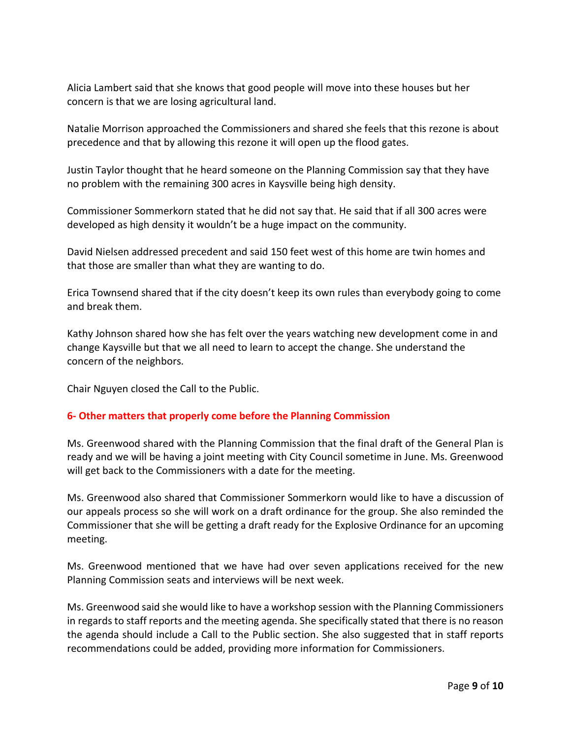Alicia Lambert said that she knows that good people will move into these houses but her concern is that we are losing agricultural land.

Natalie Morrison approached the Commissioners and shared she feels that this rezone is about precedence and that by allowing this rezone it will open up the flood gates.

Justin Taylor thought that he heard someone on the Planning Commission say that they have no problem with the remaining 300 acres in Kaysville being high density.

Commissioner Sommerkorn stated that he did not say that. He said that if all 300 acres were developed as high density it wouldn't be a huge impact on the community.

David Nielsen addressed precedent and said 150 feet west of this home are twin homes and that those are smaller than what they are wanting to do.

Erica Townsend shared that if the city doesn't keep its own rules than everybody going to come and break them.

Kathy Johnson shared how she has felt over the years watching new development come in and change Kaysville but that we all need to learn to accept the change. She understand the concern of the neighbors.

Chair Nguyen closed the Call to the Public.

# **6- Other matters that properly come before the Planning Commission**

Ms. Greenwood shared with the Planning Commission that the final draft of the General Plan is ready and we will be having a joint meeting with City Council sometime in June. Ms. Greenwood will get back to the Commissioners with a date for the meeting.

Ms. Greenwood also shared that Commissioner Sommerkorn would like to have a discussion of our appeals process so she will work on a draft ordinance for the group. She also reminded the Commissioner that she will be getting a draft ready for the Explosive Ordinance for an upcoming meeting.

Ms. Greenwood mentioned that we have had over seven applications received for the new Planning Commission seats and interviews will be next week.

Ms. Greenwood said she would like to have a workshop session with the Planning Commissioners in regards to staff reports and the meeting agenda. She specifically stated that there is no reason the agenda should include a Call to the Public section. She also suggested that in staff reports recommendations could be added, providing more information for Commissioners.